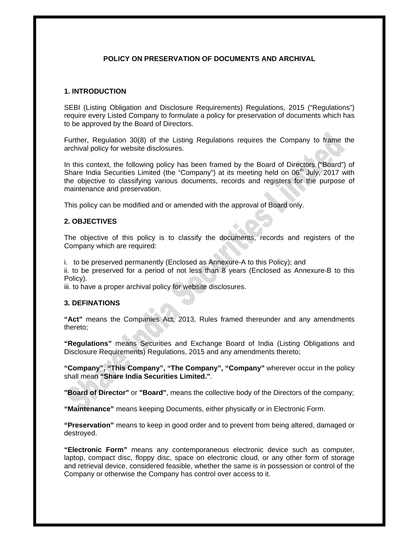# **POLICY ON PRESERVATION OF DOCUMENTS AND ARCHIVAL**

#### **1. INTRODUCTION**

SEBI (Listing Obligation and Disclosure Requirements) Regulations, 2015 ("Regulations") require every Listed Company to formulate a policy for preservation of documents which has to be approved by the Board of Directors.

Further, Regulation 30(8) of the Listing Regulations requires the Company to frame the archival policy for website disclosures.

In this context, the following policy has been framed by the Board of Directors ("Board") of Share India Securities Limited (the "Company") at its meeting held on 06<sup>th</sup> July, 2017 with the objective to classifying various documents, records and registers for the purpose of maintenance and preservation.

This policy can be modified and or amended with the approval of Board only.

# **2. OBJECTIVES**

The objective of this policy is to classify the documents, records and registers of the Company which are required:

i. to be preserved permanently (Enclosed as Annexure-A to this Policy); and

ii. to be preserved for a period of not less than 8 years (Enclosed as Annexure-B to this Policy).

iii. to have a proper archival policy for website disclosures.

#### **3. DEFINATIONS**

**"Act"** means the Companies Act, 2013, Rules framed thereunder and any amendments thereto;

**"Regulations"** means Securities and Exchange Board of India (Listing Obligations and Disclosure Requirements) Regulations, 2015 and any amendments thereto;

**"Company", "This Company", "The Company", "Company"** wherever occur in the policy shall mean **"Share India Securities Limited."**.

**"Board of Director"** or **"Board"**, means the collective body of the Directors of the company;

**"Maintenance"** means keeping Documents, either physically or in Electronic Form.

**"Preservation"** means to keep in good order and to prevent from being altered, damaged or destroyed.

**"Electronic Form"** means any contemporaneous electronic device such as computer, laptop, compact disc, floppy disc, space on electronic cloud, or any other form of storage and retrieval device, considered feasible, whether the same is in possession or control of the Company or otherwise the Company has control over access to it.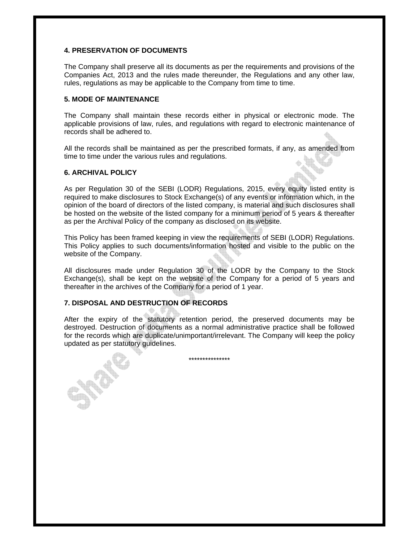# **4. PRESERVATION OF DOCUMENTS**

The Company shall preserve all its documents as per the requirements and provisions of the Companies Act, 2013 and the rules made thereunder, the Regulations and any other law, rules, regulations as may be applicable to the Company from time to time.

# **5. MODE OF MAINTENANCE**

The Company shall maintain these records either in physical or electronic mode. The applicable provisions of law, rules, and regulations with regard to electronic maintenance of records shall be adhered to.

All the records shall be maintained as per the prescribed formats, if any, as amended from time to time under the various rules and regulations.

# **6. ARCHIVAL POLICY**

As per Regulation 30 of the SEBI (LODR) Regulations, 2015, every equity listed entity is required to make disclosures to Stock Exchange(s) of any events or information which, in the opinion of the board of directors of the listed company, is material and such disclosures shall be hosted on the website of the listed company for a minimum period of 5 years & thereafter as per the Archival Policy of the company as disclosed on its website.

This Policy has been framed keeping in view the requirements of SEBI (LODR) Regulations. This Policy applies to such documents/information hosted and visible to the public on the website of the Company.

All disclosures made under Regulation 30 of the LODR by the Company to the Stock Exchange(s), shall be kept on the website of the Company for a period of 5 years and thereafter in the archives of the Company for a period of 1 year.

# **7. DISPOSAL AND DESTRUCTION OF RECORDS**

After the expiry of the statutory retention period, the preserved documents may be destroyed. Destruction of documents as a normal administrative practice shall be followed for the records which are duplicate/unimportant/irrelevant. The Company will keep the policy updated as per statutory guidelines.

\*\*\*\*\*\*\*\*\*\*\*\*\*\*\*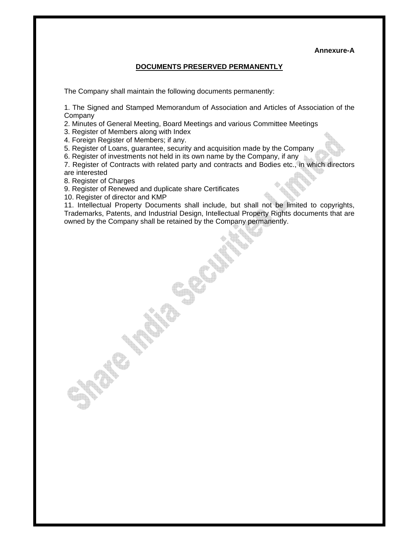#### **Annexure-A**

# **DOCUMENTS PRESERVED PERMANENTLY**

The Company shall maintain the following documents permanently:

1. The Signed and Stamped Memorandum of Association and Articles of Association of the Company

2. Minutes of General Meeting, Board Meetings and various Committee Meetings

3. Register of Members along with Index

4. Foreign Register of Members; if any.

5. Register of Loans, guarantee, security and acquisition made by the Company

6. Register of investments not held in its own name by the Company, if any

7. Register of Contracts with related party and contracts and Bodies etc., in which directors are interested

8. Register of Charges

9. Register of Renewed and duplicate share Certificates

10. Register of director and KMP

11. Intellectual Property Documents shall include, but shall not be limited to copyrights, Trademarks, Patents, and Industrial Design, Intellectual Property Rights documents that are owned by the Company shall be retained by the Company permanently.